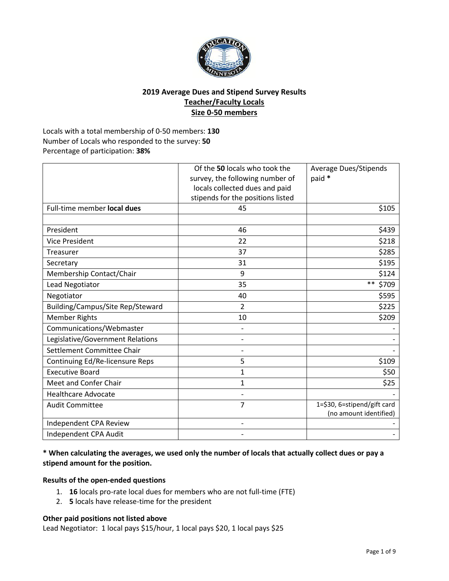

## **2019 Average Dues and Stipend Survey Results Teacher/Faculty Locals Size 0-50 members**

Locals with a total membership of 0-50 members: **130** Number of Locals who responded to the survey: **50** Percentage of participation: **38%**

|                                  | Of the 50 locals who took the     | <b>Average Dues/Stipends</b> |
|----------------------------------|-----------------------------------|------------------------------|
|                                  | survey, the following number of   | paid *                       |
|                                  | locals collected dues and paid    |                              |
|                                  | stipends for the positions listed |                              |
| Full-time member local dues      | 45                                | \$105                        |
|                                  |                                   |                              |
| President                        | 46                                | \$439                        |
| <b>Vice President</b>            | 22                                | \$218                        |
| Treasurer                        | 37                                | \$285                        |
| Secretary                        | 31                                | \$195                        |
| Membership Contact/Chair         | 9                                 | \$124                        |
| <b>Lead Negotiator</b>           | 35                                | $***$<br>\$709               |
| Negotiator                       | 40                                | \$595                        |
| Building/Campus/Site Rep/Steward | $\overline{2}$                    | \$225                        |
| <b>Member Rights</b>             | 10                                | \$209                        |
| Communications/Webmaster         |                                   |                              |
| Legislative/Government Relations |                                   |                              |
| Settlement Committee Chair       |                                   |                              |
| Continuing Ed/Re-licensure Reps  | 5                                 | \$109                        |
| <b>Executive Board</b>           | 1                                 | \$50                         |
| Meet and Confer Chair            | $\mathbf{1}$                      | \$25                         |
| <b>Healthcare Advocate</b>       |                                   |                              |
| <b>Audit Committee</b>           | 7                                 | 1=\$30, 6=stipend/gift card  |
|                                  |                                   | (no amount identified)       |
| Independent CPA Review           |                                   |                              |
| Independent CPA Audit            |                                   |                              |

## **\* When calculating the averages, we used only the number of locals that actually collect dues or pay a stipend amount for the position.**

### **Results of the open-ended questions**

- 1. **16** locals pro-rate local dues for members who are not full-time (FTE)
- 2. **5** locals have release-time for the president

#### **Other paid positions not listed above**

Lead Negotiator: 1 local pays \$15/hour, 1 local pays \$20, 1 local pays \$25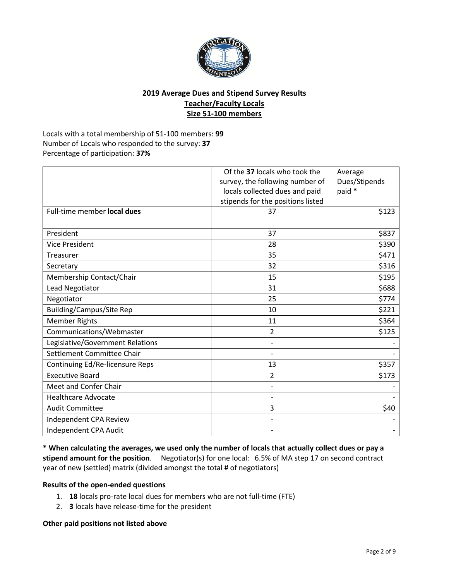

# **2019 Average Dues and Stipend Survey Results Teacher/Faculty Locals Size 51-100 members**

Locals with a total membership of 51-100 members: **99** Number of Locals who responded to the survey: **37** Percentage of participation: **37%**

| Full-time member local dues      | Of the 37 locals who took the<br>survey, the following number of<br>locals collected dues and paid<br>stipends for the positions listed<br>37 | Average<br>Dues/Stipends<br>paid *<br>\$123 |
|----------------------------------|-----------------------------------------------------------------------------------------------------------------------------------------------|---------------------------------------------|
| President                        | 37                                                                                                                                            | \$837                                       |
| <b>Vice President</b>            | 28                                                                                                                                            | \$390                                       |
| Treasurer                        | 35                                                                                                                                            | \$471                                       |
| Secretary                        | 32                                                                                                                                            | \$316                                       |
| Membership Contact/Chair         | 15                                                                                                                                            | \$195                                       |
| Lead Negotiator                  | 31                                                                                                                                            | \$688                                       |
| Negotiator                       | 25                                                                                                                                            | \$774                                       |
| <b>Building/Campus/Site Rep</b>  | 10                                                                                                                                            | \$221                                       |
| <b>Member Rights</b>             | 11                                                                                                                                            | \$364                                       |
| Communications/Webmaster         | $\overline{2}$                                                                                                                                | \$125                                       |
| Legislative/Government Relations |                                                                                                                                               |                                             |
| Settlement Committee Chair       |                                                                                                                                               |                                             |
| Continuing Ed/Re-licensure Reps  | 13                                                                                                                                            | \$357                                       |
| <b>Executive Board</b>           | $\overline{2}$                                                                                                                                | \$173                                       |
| Meet and Confer Chair            | $\overline{a}$                                                                                                                                |                                             |
| <b>Healthcare Advocate</b>       | $\overline{a}$                                                                                                                                |                                             |
| <b>Audit Committee</b>           | 3                                                                                                                                             | \$40                                        |
| Independent CPA Review           | $\overline{a}$                                                                                                                                |                                             |
| Independent CPA Audit            |                                                                                                                                               |                                             |

**\* When calculating the averages, we used only the number of locals that actually collect dues or pay a stipend amount for the position**. Negotiator(s) for one local: 6.5% of MA step 17 on second contract year of new (settled) matrix (divided amongst the total # of negotiators)

#### **Results of the open-ended questions**

- 1. **18** locals pro-rate local dues for members who are not full-time (FTE)
- 2. **3** locals have release-time for the president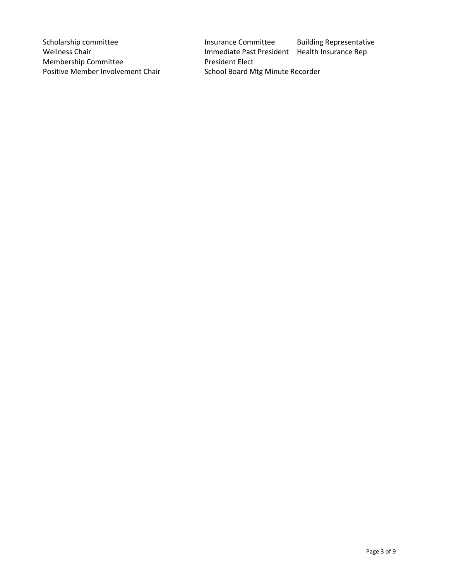Membership Committee **President Elect** Positive Member Involvement Chair School Board Mtg Minute Recorder

Scholarship committee **Insurance Committee** Building Representative Wellness Chair **Immediate Past President** Health Insurance Rep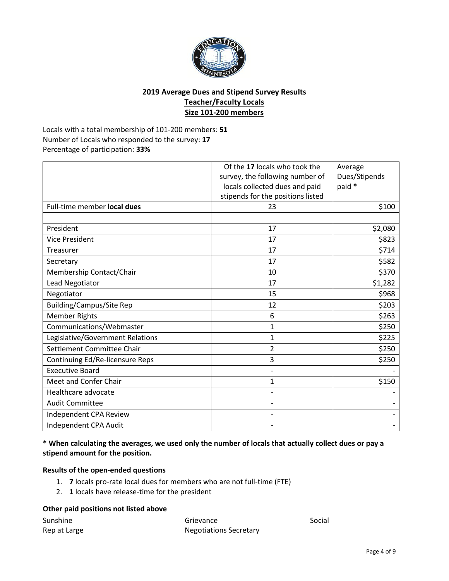

## **2019 Average Dues and Stipend Survey Results Teacher/Faculty Locals Size 101-200 members**

Locals with a total membership of 101-200 members: **51** Number of Locals who responded to the survey: **17** Percentage of participation: **33%**

|                                  | Of the 17 locals who took the<br>survey, the following number of<br>locals collected dues and paid<br>stipends for the positions listed | Average<br>Dues/Stipends<br>paid * |
|----------------------------------|-----------------------------------------------------------------------------------------------------------------------------------------|------------------------------------|
| Full-time member local dues      | 23                                                                                                                                      | \$100                              |
| President                        | 17                                                                                                                                      | \$2,080                            |
| <b>Vice President</b>            | 17                                                                                                                                      | \$823                              |
| Treasurer                        | 17                                                                                                                                      | \$714                              |
| Secretary                        | 17                                                                                                                                      | \$582                              |
| Membership Contact/Chair         | 10                                                                                                                                      | \$370                              |
| Lead Negotiator                  | 17                                                                                                                                      | \$1,282                            |
| Negotiator                       | 15                                                                                                                                      | \$968                              |
| <b>Building/Campus/Site Rep</b>  | 12                                                                                                                                      | \$203                              |
| <b>Member Rights</b>             | 6                                                                                                                                       | \$263                              |
| Communications/Webmaster         | $\mathbf{1}$                                                                                                                            | \$250                              |
| Legislative/Government Relations | $\mathbf{1}$                                                                                                                            | \$225                              |
| Settlement Committee Chair       | 2                                                                                                                                       | \$250                              |
| Continuing Ed/Re-licensure Reps  | 3                                                                                                                                       | \$250                              |
| <b>Executive Board</b>           | -                                                                                                                                       |                                    |
| Meet and Confer Chair            | 1                                                                                                                                       | \$150                              |
| Healthcare advocate              | $\overline{\phantom{0}}$                                                                                                                |                                    |
| <b>Audit Committee</b>           | $\overline{a}$                                                                                                                          |                                    |
| Independent CPA Review           | $\overline{\phantom{0}}$                                                                                                                |                                    |
| Independent CPA Audit            |                                                                                                                                         |                                    |

## **\* When calculating the averages, we used only the number of locals that actually collect dues or pay a stipend amount for the position.**

### **Results of the open-ended questions**

- 1. **7** locals pro-rate local dues for members who are not full-time (FTE)
- 2. **1** locals have release-time for the president

| Sunshine     | Grievance              | Social |
|--------------|------------------------|--------|
| Rep at Large | Negotiations Secretary |        |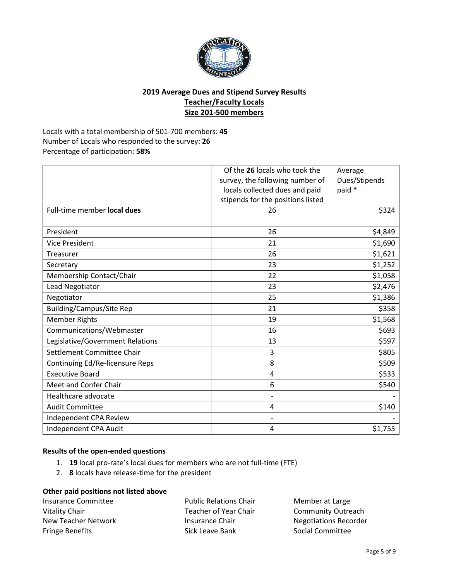

# **2019 Average Dues and Stipend Survey Results Teacher/Faculty Locals Size 201-500 members**

Locals with a total membership of 501-700 members: **45** Number of Locals who responded to the survey: **26** Percentage of participation: **58%**

|                                  | Of the 26 locals who took the<br>survey, the following number of<br>locals collected dues and paid<br>stipends for the positions listed | Average<br>Dues/Stipends<br>paid * |
|----------------------------------|-----------------------------------------------------------------------------------------------------------------------------------------|------------------------------------|
| Full-time member local dues      | 26                                                                                                                                      | \$324                              |
|                                  |                                                                                                                                         |                                    |
| President                        | 26                                                                                                                                      | \$4,849                            |
| <b>Vice President</b>            | 21                                                                                                                                      | \$1,690                            |
| Treasurer                        | 26                                                                                                                                      | \$1,621                            |
| Secretary                        | 23                                                                                                                                      | \$1,252                            |
| Membership Contact/Chair         | 22                                                                                                                                      | \$1,058                            |
| Lead Negotiator                  | 23                                                                                                                                      | \$2,476                            |
| Negotiator                       | 25                                                                                                                                      | \$1,386                            |
| <b>Building/Campus/Site Rep</b>  | 21                                                                                                                                      | \$358                              |
| <b>Member Rights</b>             | 19                                                                                                                                      | \$1,568                            |
| Communications/Webmaster         | 16                                                                                                                                      | \$693                              |
| Legislative/Government Relations | 13                                                                                                                                      | \$597                              |
| Settlement Committee Chair       | 3                                                                                                                                       | \$805                              |
| Continuing Ed/Re-licensure Reps  | 8                                                                                                                                       | \$509                              |
| <b>Executive Board</b>           | 4                                                                                                                                       | \$533                              |
| Meet and Confer Chair            | 6                                                                                                                                       | \$540                              |
| Healthcare advocate              | $\overline{\phantom{a}}$                                                                                                                |                                    |
| <b>Audit Committee</b>           | 4                                                                                                                                       | \$140                              |
| Independent CPA Review           | $\overline{a}$                                                                                                                          |                                    |
| Independent CPA Audit            | 4                                                                                                                                       | \$1,755                            |

#### **Results of the open-ended questions**

- 1. **19** local pro-rate's local dues for members who are not full-time (FTE)
- 2. **8** locals have release-time for the president

#### **Other paid positions not listed above**

| Insurance Committee    | <b>Public Relations Chair</b> |
|------------------------|-------------------------------|
| Vitality Chair         | Teacher of Year Chair         |
| New Teacher Network    | Insurance Chair               |
| <b>Fringe Benefits</b> | Sick Leave Bank               |

Member at Large Community Outreach Negotiations Recorder Social Committee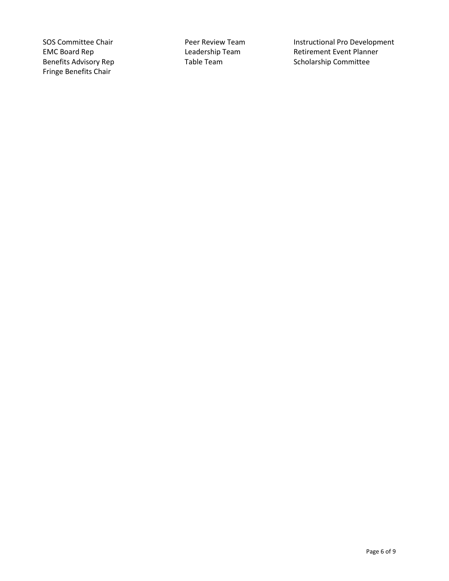Fringe Benefits Chair

SOS Committee Chair **Peer Review Team** Instructional Pro Development<br>
EMC Board Rep **Instructional Pro Development**<br>
Leadership Team Retirement Event Planner EMC Board Rep **Leadership Team** Retirement Event Planner<br>
Benefits Advisory Rep **Retirement Event Planner**<br>
Table Team Rem Retholarship Committee Table Team Scholarship Committee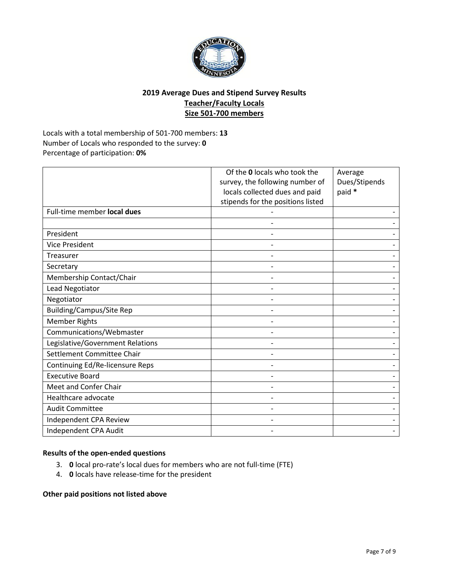

# **2019 Average Dues and Stipend Survey Results Teacher/Faculty Locals Size 501-700 members**

Locals with a total membership of 501-700 members: **13** Number of Locals who responded to the survey: **0** Percentage of participation: **0%**

|                                  | Of the 0 locals who took the<br>survey, the following number of<br>locals collected dues and paid<br>stipends for the positions listed | Average<br>Dues/Stipends<br>paid * |
|----------------------------------|----------------------------------------------------------------------------------------------------------------------------------------|------------------------------------|
| Full-time member local dues      |                                                                                                                                        |                                    |
|                                  |                                                                                                                                        |                                    |
| President                        |                                                                                                                                        |                                    |
| <b>Vice President</b>            |                                                                                                                                        |                                    |
| Treasurer                        |                                                                                                                                        |                                    |
| Secretary                        |                                                                                                                                        |                                    |
| Membership Contact/Chair         |                                                                                                                                        |                                    |
| Lead Negotiator                  |                                                                                                                                        |                                    |
| Negotiator                       |                                                                                                                                        |                                    |
| <b>Building/Campus/Site Rep</b>  |                                                                                                                                        |                                    |
| <b>Member Rights</b>             |                                                                                                                                        |                                    |
| Communications/Webmaster         |                                                                                                                                        |                                    |
| Legislative/Government Relations |                                                                                                                                        |                                    |
| Settlement Committee Chair       |                                                                                                                                        |                                    |
| Continuing Ed/Re-licensure Reps  |                                                                                                                                        |                                    |
| <b>Executive Board</b>           |                                                                                                                                        |                                    |
| Meet and Confer Chair            |                                                                                                                                        |                                    |
| Healthcare advocate              |                                                                                                                                        |                                    |
| <b>Audit Committee</b>           |                                                                                                                                        |                                    |
| Independent CPA Review           |                                                                                                                                        |                                    |
| Independent CPA Audit            |                                                                                                                                        |                                    |

#### **Results of the open-ended questions**

- 3. **0** local pro-rate's local dues for members who are not full-time (FTE)
- 4. **0** locals have release-time for the president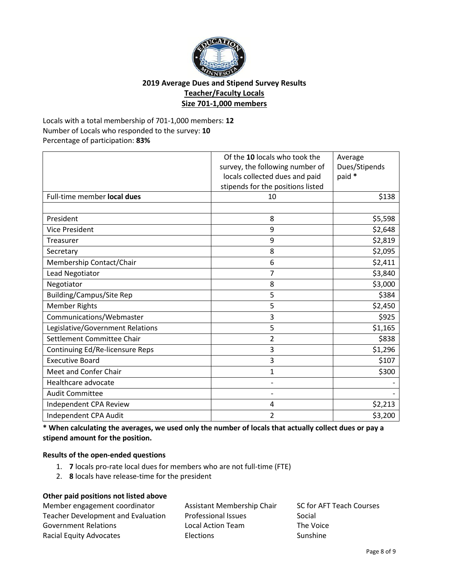

# **2019 Average Dues and Stipend Survey Results Teacher/Faculty Locals Size 701-1,000 members**

Locals with a total membership of 701-1,000 members: **12** Number of Locals who responded to the survey: **10** Percentage of participation: **83%**

| Full-time member local dues      | Of the 10 locals who took the<br>survey, the following number of<br>locals collected dues and paid<br>stipends for the positions listed<br>10 | Average<br>Dues/Stipends<br>paid *<br>\$138 |
|----------------------------------|-----------------------------------------------------------------------------------------------------------------------------------------------|---------------------------------------------|
|                                  |                                                                                                                                               |                                             |
| President                        | 8                                                                                                                                             | \$5,598                                     |
| <b>Vice President</b>            | 9                                                                                                                                             | \$2,648                                     |
| Treasurer                        | 9                                                                                                                                             | \$2,819                                     |
| Secretary                        | 8                                                                                                                                             | \$2,095                                     |
| Membership Contact/Chair         | 6                                                                                                                                             | \$2,411                                     |
| Lead Negotiator                  | $\overline{7}$                                                                                                                                | \$3,840                                     |
| Negotiator                       | 8                                                                                                                                             | \$3,000                                     |
| <b>Building/Campus/Site Rep</b>  | 5                                                                                                                                             | \$384                                       |
| <b>Member Rights</b>             | 5                                                                                                                                             | \$2,450                                     |
| Communications/Webmaster         | 3                                                                                                                                             | \$925                                       |
| Legislative/Government Relations | 5                                                                                                                                             | \$1,165                                     |
| Settlement Committee Chair       | 2                                                                                                                                             | \$838                                       |
| Continuing Ed/Re-licensure Reps  | 3                                                                                                                                             | \$1,296                                     |
| <b>Executive Board</b>           | 3                                                                                                                                             | \$107                                       |
| Meet and Confer Chair            | 1                                                                                                                                             | \$300                                       |
| Healthcare advocate              | $\overline{a}$                                                                                                                                |                                             |
| <b>Audit Committee</b>           |                                                                                                                                               |                                             |
| Independent CPA Review           | 4                                                                                                                                             | \$2,213                                     |
| Independent CPA Audit            | 2                                                                                                                                             | \$3,200                                     |

**\* When calculating the averages, we used only the number of locals that actually collect dues or pay a stipend amount for the position.**

#### **Results of the open-ended questions**

- 1. **7** locals pro-rate local dues for members who are not full-time (FTE)
- 2. **8** locals have release-time for the president

| Member engagement coordinator             | Assistant Membership Chair | SC for AFT Teach Courses |
|-------------------------------------------|----------------------------|--------------------------|
| <b>Teacher Development and Evaluation</b> | <b>Professional Issues</b> | Social                   |
| <b>Government Relations</b>               | Local Action Team          | The Voice                |
| Racial Equity Advocates                   | Elections                  | Sunshine                 |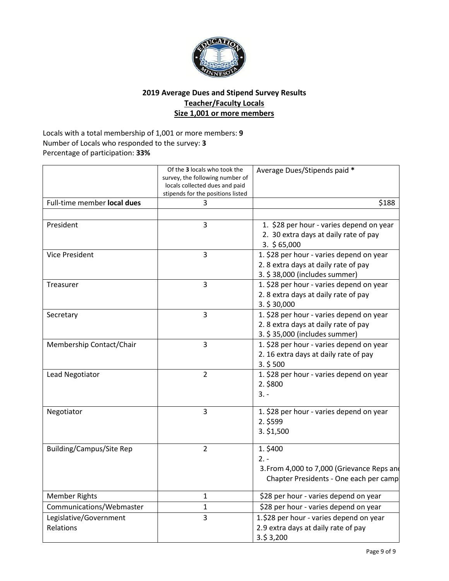

# **2019 Average Dues and Stipend Survey Results Teacher/Faculty Locals Size 1,001 or more members**

Locals with a total membership of 1,001 or more members: **9** Number of Locals who responded to the survey: **3** Percentage of participation: **33%**

|                                     | Of the 3 locals who took the<br>survey, the following number of<br>locals collected dues and paid<br>stipends for the positions listed | Average Dues/Stipends paid *                                                                                     |
|-------------------------------------|----------------------------------------------------------------------------------------------------------------------------------------|------------------------------------------------------------------------------------------------------------------|
| Full-time member local dues         | 3                                                                                                                                      | \$188                                                                                                            |
|                                     |                                                                                                                                        |                                                                                                                  |
| President                           | 3                                                                                                                                      | 1. \$28 per hour - varies depend on year<br>2. 30 extra days at daily rate of pay<br>$3.$ \$65,000               |
| <b>Vice President</b>               | 3                                                                                                                                      | 1. \$28 per hour - varies depend on year<br>2.8 extra days at daily rate of pay<br>3. \$38,000 (includes summer) |
| Treasurer                           | $\overline{3}$                                                                                                                         | 1. \$28 per hour - varies depend on year<br>2.8 extra days at daily rate of pay<br>3.530,000                     |
| Secretary                           | $\overline{3}$                                                                                                                         | 1. \$28 per hour - varies depend on year<br>2.8 extra days at daily rate of pay<br>3. \$35,000 (includes summer) |
| Membership Contact/Chair            | 3                                                                                                                                      | 1. \$28 per hour - varies depend on year<br>2. 16 extra days at daily rate of pay<br>3.5500                      |
| Lead Negotiator                     | $\overline{2}$                                                                                                                         | 1. \$28 per hour - varies depend on year<br>2. \$800<br>$3. -$                                                   |
| Negotiator                          | $\overline{3}$                                                                                                                         | 1. \$28 per hour - varies depend on year<br>2. \$599<br>3. \$1,500                                               |
| <b>Building/Campus/Site Rep</b>     | $\overline{2}$                                                                                                                         | 1. \$400<br>$2. -$<br>3. From 4,000 to 7,000 (Grievance Reps and<br>Chapter Presidents - One each per camp       |
| <b>Member Rights</b>                | 1                                                                                                                                      | \$28 per hour - varies depend on year                                                                            |
| Communications/Webmaster            | $\mathbf{1}$                                                                                                                           | \$28 per hour - varies depend on year                                                                            |
| Legislative/Government<br>Relations | $\overline{3}$                                                                                                                         | 1.\$28 per hour - varies depend on year<br>2.9 extra days at daily rate of pay<br>$3.\$3,200$                    |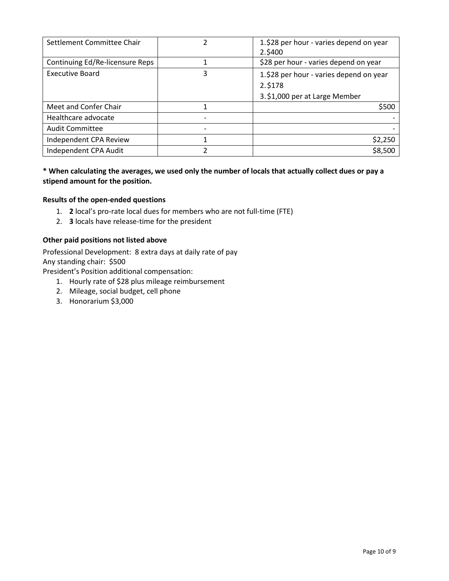| Settlement Committee Chair      | 2 | 1.\$28 per hour - varies depend on year |
|---------------------------------|---|-----------------------------------------|
|                                 |   | 2.\$400                                 |
| Continuing Ed/Re-licensure Reps |   | \$28 per hour - varies depend on year   |
| <b>Executive Board</b>          | 3 | 1.\$28 per hour - varies depend on year |
|                                 |   | 2.5178                                  |
|                                 |   | 3. \$1,000 per at Large Member          |
| Meet and Confer Chair           |   | \$500                                   |
| Healthcare advocate             |   |                                         |
| <b>Audit Committee</b>          |   |                                         |
| Independent CPA Review          |   | \$2,250                                 |
| Independent CPA Audit           | 2 | \$8,500                                 |

**\* When calculating the averages, we used only the number of locals that actually collect dues or pay a stipend amount for the position.**

#### **Results of the open-ended questions**

- 1. **2** local's pro-rate local dues for members who are not full-time (FTE)
- 2. **3** locals have release-time for the president

#### **Other paid positions not listed above**

Professional Development: 8 extra days at daily rate of pay Any standing chair: \$500

President's Position additional compensation:

- 1. Hourly rate of \$28 plus mileage reimbursement
- 2. Mileage, social budget, cell phone
- 3. Honorarium \$3,000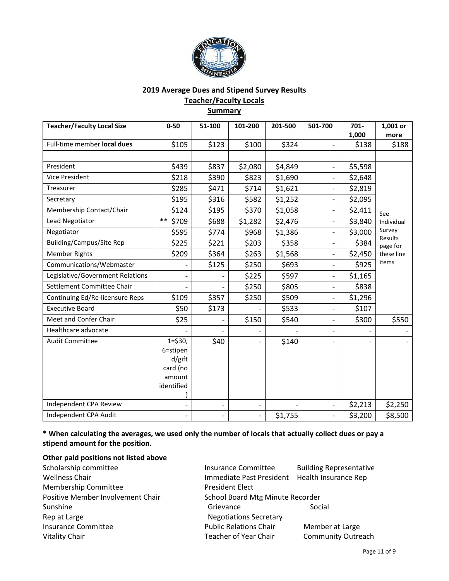

# **2019 Average Dues and Stipend Survey Results Teacher/Faculty Locals Summary**

| <b>Teacher/Faculty Local Size</b> | $0 - 50$                                                             | 51-100 | 101-200                  | 201-500 | 501-700                  | 701-    | 1,001 or                 |
|-----------------------------------|----------------------------------------------------------------------|--------|--------------------------|---------|--------------------------|---------|--------------------------|
|                                   |                                                                      |        |                          |         |                          | 1,000   | more                     |
| Full-time member local dues       | \$105                                                                | \$123  | \$100                    | \$324   |                          | \$138   | \$188                    |
|                                   |                                                                      |        |                          |         |                          |         |                          |
| President                         | \$439                                                                | \$837  | \$2,080                  | \$4,849 | $\overline{\phantom{0}}$ | \$5,598 |                          |
| <b>Vice President</b>             | \$218                                                                | \$390  | \$823                    | \$1,690 | $\overline{\phantom{0}}$ | \$2,648 |                          |
| Treasurer                         | \$285                                                                | \$471  | \$714                    | \$1,621 |                          | \$2,819 |                          |
| Secretary                         | \$195                                                                | \$316  | \$582                    | \$1,252 | $\overline{\phantom{0}}$ | \$2,095 |                          |
| Membership Contact/Chair          | \$124                                                                | \$195  | \$370                    | \$1,058 | $\overline{\phantom{0}}$ | \$2,411 | See                      |
| Lead Negotiator                   | $***$<br>\$709                                                       | \$688  | \$1,282                  | \$2,476 | $\overline{\phantom{0}}$ | \$3,840 | Individual               |
| Negotiator                        | \$595                                                                | \$774  | \$968                    | \$1,386 |                          | \$3,000 | Survey<br><b>Results</b> |
| <b>Building/Campus/Site Rep</b>   | \$225                                                                | \$221  | \$203                    | \$358   | $\overline{\phantom{0}}$ | \$384   | page for                 |
| <b>Member Rights</b>              | \$209                                                                | \$364  | \$263                    | \$1,568 | $\overline{\phantom{a}}$ | \$2,450 | these line               |
| Communications/Webmaster          | $\overline{\phantom{0}}$                                             | \$125  | \$250                    | \$693   | $\overline{\phantom{0}}$ | \$925   | items                    |
| Legislative/Government Relations  |                                                                      |        | \$225                    | \$597   | $\overline{\phantom{0}}$ | \$1,165 |                          |
| Settlement Committee Chair        |                                                                      |        | \$250                    | \$805   | $\overline{\phantom{0}}$ | \$838   |                          |
| Continuing Ed/Re-licensure Reps   | \$109                                                                | \$357  | \$250                    | \$509   | $\overline{\phantom{0}}$ | \$1,296 |                          |
| <b>Executive Board</b>            | \$50                                                                 | \$173  |                          | \$533   |                          | \$107   |                          |
| Meet and Confer Chair             | \$25                                                                 |        | \$150                    | \$540   |                          | \$300   | \$550                    |
| Healthcare advocate               |                                                                      |        |                          |         |                          |         |                          |
| <b>Audit Committee</b>            | $1 = $30,$<br>6=stipen<br>d/gift<br>card (no<br>amount<br>identified | \$40   |                          | \$140   |                          |         |                          |
| Independent CPA Review            |                                                                      |        |                          |         |                          | \$2,213 | \$2,250                  |
| Independent CPA Audit             |                                                                      |        | $\overline{\phantom{0}}$ | \$1,755 |                          | \$3,200 | \$8,500                  |

**\* When calculating the averages, we used only the number of locals that actually collect dues or pay a stipend amount for the position.**

| Scholarship committee             | <b>Insurance Committee</b>                    | <b>Building Representative</b> |
|-----------------------------------|-----------------------------------------------|--------------------------------|
| <b>Wellness Chair</b>             | Immediate Past President Health Insurance Rep |                                |
| <b>Membership Committee</b>       | <b>President Elect</b>                        |                                |
| Positive Member Involvement Chair | School Board Mtg Minute Recorder              |                                |
| Sunshine                          | Grievance                                     | Social                         |
| Rep at Large                      | <b>Negotiations Secretary</b>                 |                                |
| <b>Insurance Committee</b>        | <b>Public Relations Chair</b>                 | Member at Large                |
| <b>Vitality Chair</b>             | <b>Teacher of Year Chair</b>                  | <b>Community Outreach</b>      |